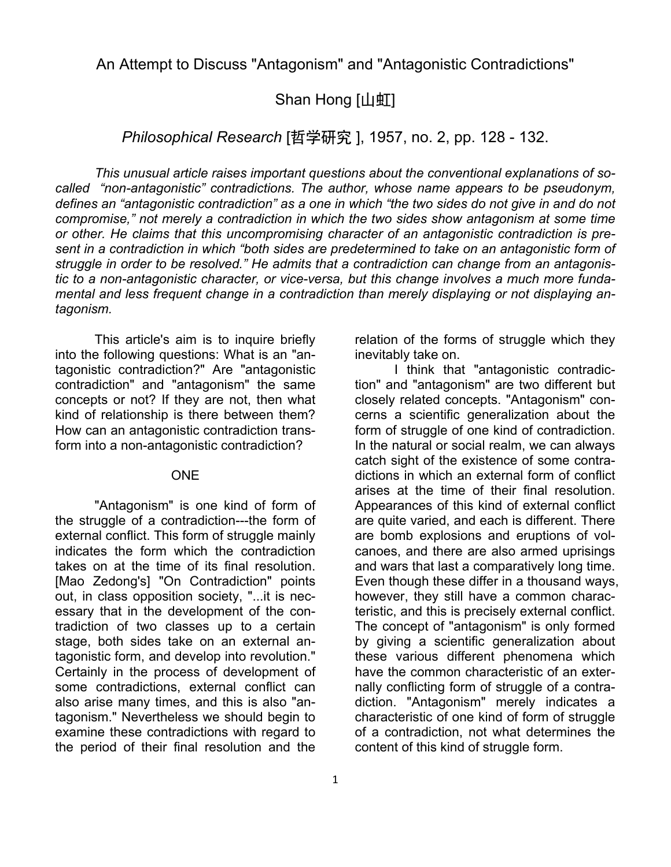An Attempt to Discuss "Antagonism" and "Antagonistic Contradictions"

## Shan Hong [山虹]

*Philosophical Research* [哲学研究 ], 1957, no. 2, pp. 128 - 132.

*This unusual article raises important questions about the conventional explanations of socalled "non-antagonistic" contradictions. The author, whose name appears to be pseudonym, defines an "antagonistic contradiction" as a one in which "the two sides do not give in and do not compromise," not merely a contradiction in which the two sides show antagonism at some time or other. He claims that this uncompromising character of an antagonistic contradiction is present in a contradiction in which "both sides are predetermined to take on an antagonistic form of struggle in order to be resolved." He admits that a contradiction can change from an antagonistic to a non-antagonistic character, or vice-versa, but this change involves a much more fundamental and less frequent change in a contradiction than merely displaying or not displaying antagonism.* 

This article's aim is to inquire briefly into the following questions: What is an "antagonistic contradiction?" Are "antagonistic contradiction" and "antagonism" the same concepts or not? If they are not, then what kind of relationship is there between them? How can an antagonistic contradiction transform into a non-antagonistic contradiction?

## ONE

"Antagonism" is one kind of form of the struggle of a contradiction---the form of external conflict. This form of struggle mainly indicates the form which the contradiction takes on at the time of its final resolution. [Mao Zedong's] "On Contradiction" points out, in class opposition society, "...it is necessary that in the development of the contradiction of two classes up to a certain stage, both sides take on an external antagonistic form, and develop into revolution." Certainly in the process of development of some contradictions, external conflict can also arise many times, and this is also "antagonism." Nevertheless we should begin to examine these contradictions with regard to the period of their final resolution and the

relation of the forms of struggle which they inevitably take on.

I think that "antagonistic contradiction" and "antagonism" are two different but closely related concepts. "Antagonism" concerns a scientific generalization about the form of struggle of one kind of contradiction. In the natural or social realm, we can always catch sight of the existence of some contradictions in which an external form of conflict arises at the time of their final resolution. Appearances of this kind of external conflict are quite varied, and each is different. There are bomb explosions and eruptions of volcanoes, and there are also armed uprisings and wars that last a comparatively long time. Even though these differ in a thousand ways, however, they still have a common characteristic, and this is precisely external conflict. The concept of "antagonism" is only formed by giving a scientific generalization about these various different phenomena which have the common characteristic of an externally conflicting form of struggle of a contradiction. "Antagonism" merely indicates a characteristic of one kind of form of struggle of a contradiction, not what determines the content of this kind of struggle form.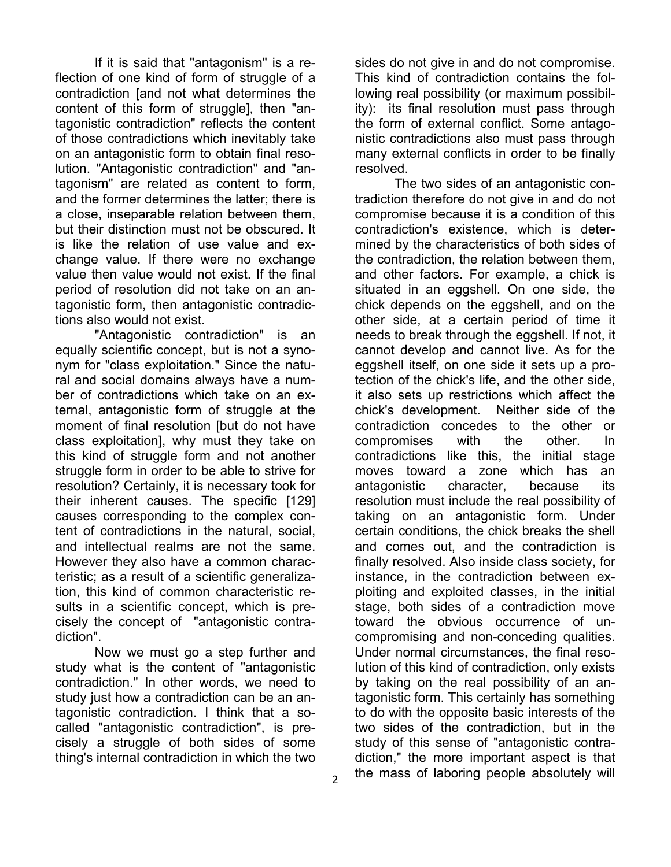If it is said that "antagonism" is a reflection of one kind of form of struggle of a contradiction [and not what determines the content of this form of struggle], then "antagonistic contradiction" reflects the content of those contradictions which inevitably take on an antagonistic form to obtain final resolution. "Antagonistic contradiction" and "antagonism" are related as content to form, and the former determines the latter; there is a close, inseparable relation between them, but their distinction must not be obscured. It is like the relation of use value and exchange value. If there were no exchange value then value would not exist. If the final period of resolution did not take on an antagonistic form, then antagonistic contradictions also would not exist.

"Antagonistic contradiction" is an equally scientific concept, but is not a synonym for "class exploitation." Since the natural and social domains always have a number of contradictions which take on an external, antagonistic form of struggle at the moment of final resolution [but do not have class exploitation], why must they take on this kind of struggle form and not another struggle form in order to be able to strive for resolution? Certainly, it is necessary took for their inherent causes. The specific [129] causes corresponding to the complex content of contradictions in the natural, social, and intellectual realms are not the same. However they also have a common characteristic; as a result of a scientific generalization, this kind of common characteristic results in a scientific concept, which is precisely the concept of "antagonistic contradiction".

Now we must go a step further and study what is the content of "antagonistic contradiction." In other words, we need to study just how a contradiction can be an antagonistic contradiction. I think that a socalled "antagonistic contradiction", is precisely a struggle of both sides of some thing's internal contradiction in which the two

sides do not give in and do not compromise. This kind of contradiction contains the following real possibility (or maximum possibility): its final resolution must pass through the form of external conflict. Some antagonistic contradictions also must pass through many external conflicts in order to be finally resolved.

The two sides of an antagonistic contradiction therefore do not give in and do not compromise because it is a condition of this contradiction's existence, which is determined by the characteristics of both sides of the contradiction, the relation between them, and other factors. For example, a chick is situated in an eggshell. On one side, the chick depends on the eggshell, and on the other side, at a certain period of time it needs to break through the eggshell. If not, it cannot develop and cannot live. As for the eggshell itself, on one side it sets up a protection of the chick's life, and the other side, it also sets up restrictions which affect the chick's development. Neither side of the contradiction concedes to the other or compromises with the other. In contradictions like this, the initial stage moves toward a zone which has an antagonistic character, because its resolution must include the real possibility of taking on an antagonistic form. Under certain conditions, the chick breaks the shell and comes out, and the contradiction is finally resolved. Also inside class society, for instance, in the contradiction between exploiting and exploited classes, in the initial stage, both sides of a contradiction move toward the obvious occurrence of uncompromising and non-conceding qualities. Under normal circumstances, the final resolution of this kind of contradiction, only exists by taking on the real possibility of an antagonistic form. This certainly has something to do with the opposite basic interests of the two sides of the contradiction, but in the study of this sense of "antagonistic contradiction," the more important aspect is that the mass of laboring people absolutely will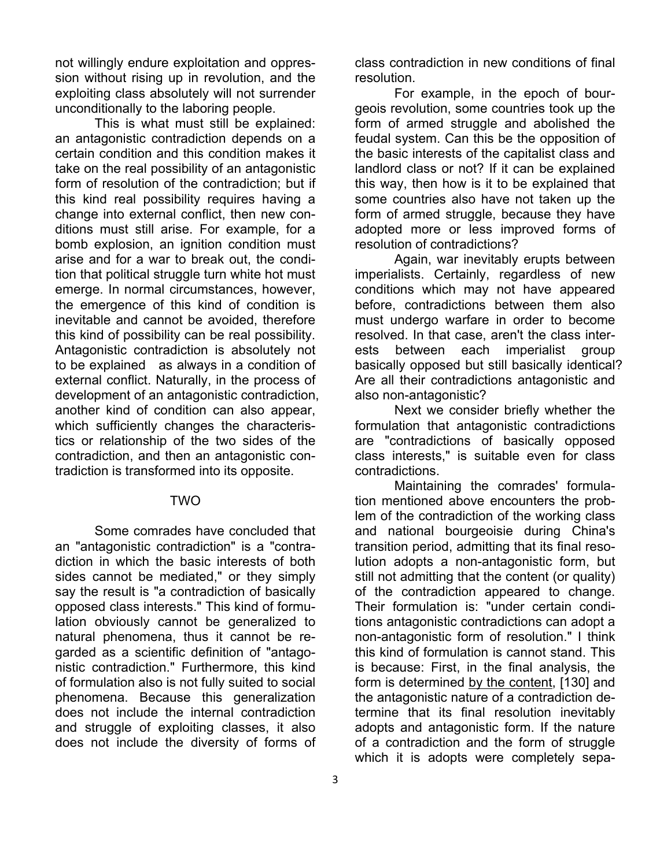not willingly endure exploitation and oppression without rising up in revolution, and the exploiting class absolutely will not surrender unconditionally to the laboring people.

This is what must still be explained: an antagonistic contradiction depends on a certain condition and this condition makes it take on the real possibility of an antagonistic form of resolution of the contradiction; but if this kind real possibility requires having a change into external conflict, then new conditions must still arise. For example, for a bomb explosion, an ignition condition must arise and for a war to break out, the condition that political struggle turn white hot must emerge. In normal circumstances, however, the emergence of this kind of condition is inevitable and cannot be avoided, therefore this kind of possibility can be real possibility. Antagonistic contradiction is absolutely not to be explained as always in a condition of external conflict. Naturally, in the process of development of an antagonistic contradiction, another kind of condition can also appear, which sufficiently changes the characteristics or relationship of the two sides of the contradiction, and then an antagonistic contradiction is transformed into its opposite.

## TWO

Some comrades have concluded that an "antagonistic contradiction" is a "contradiction in which the basic interests of both sides cannot be mediated," or they simply say the result is "a contradiction of basically opposed class interests." This kind of formulation obviously cannot be generalized to natural phenomena, thus it cannot be regarded as a scientific definition of "antagonistic contradiction." Furthermore, this kind of formulation also is not fully suited to social phenomena. Because this generalization does not include the internal contradiction and struggle of exploiting classes, it also does not include the diversity of forms of

class contradiction in new conditions of final resolution.

For example, in the epoch of bourgeois revolution, some countries took up the form of armed struggle and abolished the feudal system. Can this be the opposition of the basic interests of the capitalist class and landlord class or not? If it can be explained this way, then how is it to be explained that some countries also have not taken up the form of armed struggle, because they have adopted more or less improved forms of resolution of contradictions?

Again, war inevitably erupts between imperialists. Certainly, regardless of new conditions which may not have appeared before, contradictions between them also must undergo warfare in order to become resolved. In that case, aren't the class interests between each imperialist group basically opposed but still basically identical? Are all their contradictions antagonistic and also non-antagonistic?

Next we consider briefly whether the formulation that antagonistic contradictions are "contradictions of basically opposed class interests," is suitable even for class contradictions.

Maintaining the comrades' formulation mentioned above encounters the problem of the contradiction of the working class and national bourgeoisie during China's transition period, admitting that its final resolution adopts a non-antagonistic form, but still not admitting that the content (or quality) of the contradiction appeared to change. Their formulation is: "under certain conditions antagonistic contradictions can adopt a non-antagonistic form of resolution." I think this kind of formulation is cannot stand. This is because: First, in the final analysis, the form is determined by the content, [130] and the antagonistic nature of a contradiction determine that its final resolution inevitably adopts and antagonistic form. If the nature of a contradiction and the form of struggle which it is adopts were completely sepa-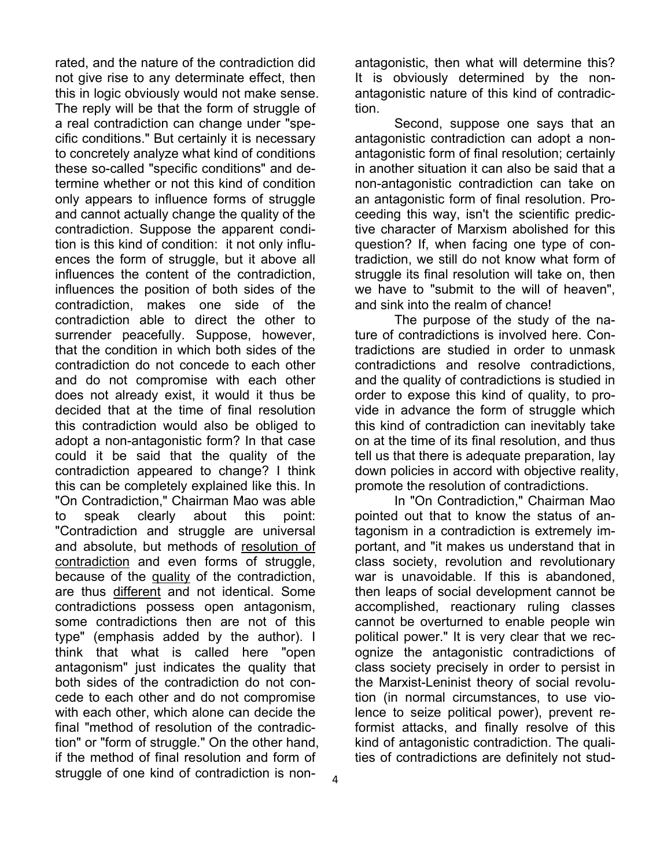rated, and the nature of the contradiction did not give rise to any determinate effect, then this in logic obviously would not make sense. The reply will be that the form of struggle of a real contradiction can change under "specific conditions." But certainly it is necessary to concretely analyze what kind of conditions these so-called "specific conditions" and determine whether or not this kind of condition only appears to influence forms of struggle and cannot actually change the quality of the contradiction. Suppose the apparent condition is this kind of condition: it not only influences the form of struggle, but it above all influences the content of the contradiction, influences the position of both sides of the contradiction, makes one side of the contradiction able to direct the other to surrender peacefully. Suppose, however, that the condition in which both sides of the contradiction do not concede to each other and do not compromise with each other does not already exist, it would it thus be decided that at the time of final resolution this contradiction would also be obliged to adopt a non-antagonistic form? In that case could it be said that the quality of the contradiction appeared to change? I think this can be completely explained like this. In "On Contradiction," Chairman Mao was able to speak clearly about this point: "Contradiction and struggle are universal and absolute, but methods of resolution of contradiction and even forms of struggle, because of the quality of the contradiction, are thus different and not identical. Some contradictions possess open antagonism, some contradictions then are not of this type" (emphasis added by the author). I think that what is called here "open antagonism" just indicates the quality that both sides of the contradiction do not concede to each other and do not compromise with each other, which alone can decide the final "method of resolution of the contradiction" or "form of struggle." On the other hand, if the method of final resolution and form of struggle of one kind of contradiction is non-

4

antagonistic, then what will determine this? It is obviously determined by the nonantagonistic nature of this kind of contradiction.

Second, suppose one says that an antagonistic contradiction can adopt a nonantagonistic form of final resolution; certainly in another situation it can also be said that a non-antagonistic contradiction can take on an antagonistic form of final resolution. Proceeding this way, isn't the scientific predictive character of Marxism abolished for this question? If, when facing one type of contradiction, we still do not know what form of struggle its final resolution will take on, then we have to "submit to the will of heaven", and sink into the realm of chance!

The purpose of the study of the nature of contradictions is involved here. Contradictions are studied in order to unmask contradictions and resolve contradictions, and the quality of contradictions is studied in order to expose this kind of quality, to provide in advance the form of struggle which this kind of contradiction can inevitably take on at the time of its final resolution, and thus tell us that there is adequate preparation, lay down policies in accord with objective reality, promote the resolution of contradictions.

In "On Contradiction," Chairman Mao pointed out that to know the status of antagonism in a contradiction is extremely important, and "it makes us understand that in class society, revolution and revolutionary war is unavoidable. If this is abandoned, then leaps of social development cannot be accomplished, reactionary ruling classes cannot be overturned to enable people win political power." It is very clear that we recognize the antagonistic contradictions of class society precisely in order to persist in the Marxist-Leninist theory of social revolution (in normal circumstances, to use violence to seize political power), prevent reformist attacks, and finally resolve of this kind of antagonistic contradiction. The qualities of contradictions are definitely not stud-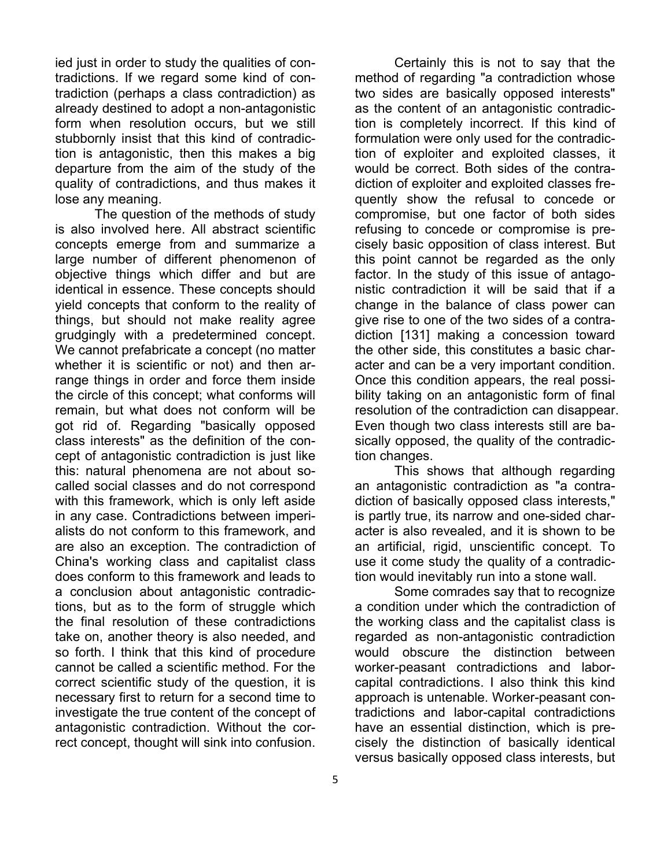ied just in order to study the qualities of contradictions. If we regard some kind of contradiction (perhaps a class contradiction) as already destined to adopt a non-antagonistic form when resolution occurs, but we still stubbornly insist that this kind of contradiction is antagonistic, then this makes a big departure from the aim of the study of the quality of contradictions, and thus makes it lose any meaning.

The question of the methods of study is also involved here. All abstract scientific concepts emerge from and summarize a large number of different phenomenon of objective things which differ and but are identical in essence. These concepts should yield concepts that conform to the reality of things, but should not make reality agree grudgingly with a predetermined concept. We cannot prefabricate a concept (no matter whether it is scientific or not) and then arrange things in order and force them inside the circle of this concept; what conforms will remain, but what does not conform will be got rid of. Regarding "basically opposed class interests" as the definition of the concept of antagonistic contradiction is just like this: natural phenomena are not about socalled social classes and do not correspond with this framework, which is only left aside in any case. Contradictions between imperialists do not conform to this framework, and are also an exception. The contradiction of China's working class and capitalist class does conform to this framework and leads to a conclusion about antagonistic contradictions, but as to the form of struggle which the final resolution of these contradictions take on, another theory is also needed, and so forth. I think that this kind of procedure cannot be called a scientific method. For the correct scientific study of the question, it is necessary first to return for a second time to investigate the true content of the concept of antagonistic contradiction. Without the correct concept, thought will sink into confusion.

Certainly this is not to say that the method of regarding "a contradiction whose two sides are basically opposed interests" as the content of an antagonistic contradiction is completely incorrect. If this kind of formulation were only used for the contradiction of exploiter and exploited classes, it would be correct. Both sides of the contradiction of exploiter and exploited classes frequently show the refusal to concede or compromise, but one factor of both sides refusing to concede or compromise is precisely basic opposition of class interest. But this point cannot be regarded as the only factor. In the study of this issue of antagonistic contradiction it will be said that if a change in the balance of class power can give rise to one of the two sides of a contradiction [131] making a concession toward the other side, this constitutes a basic character and can be a very important condition. Once this condition appears, the real possibility taking on an antagonistic form of final resolution of the contradiction can disappear. Even though two class interests still are basically opposed, the quality of the contradiction changes.

This shows that although regarding an antagonistic contradiction as "a contradiction of basically opposed class interests," is partly true, its narrow and one-sided character is also revealed, and it is shown to be an artificial, rigid, unscientific concept. To use it come study the quality of a contradiction would inevitably run into a stone wall.

Some comrades say that to recognize a condition under which the contradiction of the working class and the capitalist class is regarded as non-antagonistic contradiction would obscure the distinction between worker-peasant contradictions and laborcapital contradictions. I also think this kind approach is untenable. Worker-peasant contradictions and labor-capital contradictions have an essential distinction, which is precisely the distinction of basically identical versus basically opposed class interests, but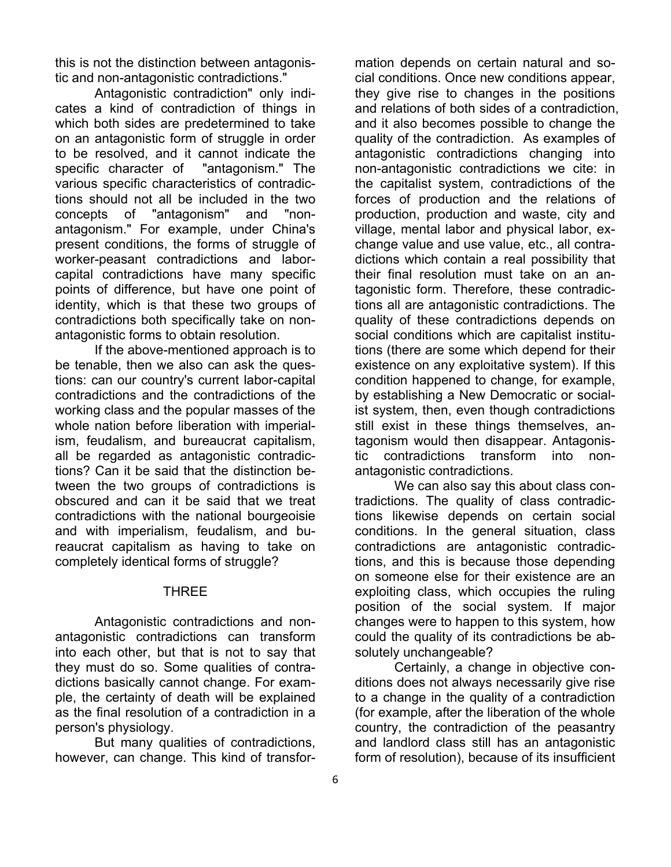this is not the distinction between antagonistic and non-antagonistic contradictions."

Antagonistic contradiction" only indicates a kind of contradiction of things in which both sides are predetermined to take on an antagonistic form of struggle in order to be resolved, and it cannot indicate the specific character of "antagonism." The various specific characteristics of contradictions should not all be included in the two concepts of "antagonism" and "nonantagonism." For example, under China's present conditions, the forms of struggle of worker-peasant contradictions and laborcapital contradictions have many specific points of difference, but have one point of identity, which is that these two groups of contradictions both specifically take on nonantagonistic forms to obtain resolution.

If the above-mentioned approach is to be tenable, then we also can ask the questions: can our country's current labor-capital contradictions and the contradictions of the working class and the popular masses of the whole nation before liberation with imperialism, feudalism, and bureaucrat capitalism, all be regarded as antagonistic contradictions? Can it be said that the distinction between the two groups of contradictions is obscured and can it be said that we treat contradictions with the national bourgeoisie and with imperialism, feudalism, and bureaucrat capitalism as having to take on completely identical forms of struggle?

## THREE

Antagonistic contradictions and nonantagonistic contradictions can transform into each other, but that is not to say that they must do so. Some qualities of contradictions basically cannot change. For example, the certainty of death will be explained as the final resolution of a contradiction in a person's physiology.

But many qualities of contradictions, however, can change. This kind of transformation depends on certain natural and social conditions. Once new conditions appear, they give rise to changes in the positions and relations of both sides of a contradiction, and it also becomes possible to change the quality of the contradiction. As examples of antagonistic contradictions changing into non-antagonistic contradictions we cite: in the capitalist system, contradictions of the forces of production and the relations of production, production and waste, city and village, mental labor and physical labor, exchange value and use value, etc., all contradictions which contain a real possibility that their final resolution must take on an antagonistic form. Therefore, these contradictions all are antagonistic contradictions. The quality of these contradictions depends on social conditions which are capitalist institutions (there are some which depend for their existence on any exploitative system). If this condition happened to change, for example, by establishing a New Democratic or socialist system, then, even though contradictions still exist in these things themselves, antagonism would then disappear. Antagonistic contradictions transform into nonantagonistic contradictions.

We can also say this about class contradictions. The quality of class contradictions likewise depends on certain social conditions. In the general situation, class contradictions are antagonistic contradictions, and this is because those depending on someone else for their existence are an exploiting class, which occupies the ruling position of the social system. If major changes were to happen to this system, how could the quality of its contradictions be absolutely unchangeable?

Certainly, a change in objective conditions does not always necessarily give rise to a change in the quality of a contradiction (for example, after the liberation of the whole country, the contradiction of the peasantry and landlord class still has an antagonistic form of resolution), because of its insufficient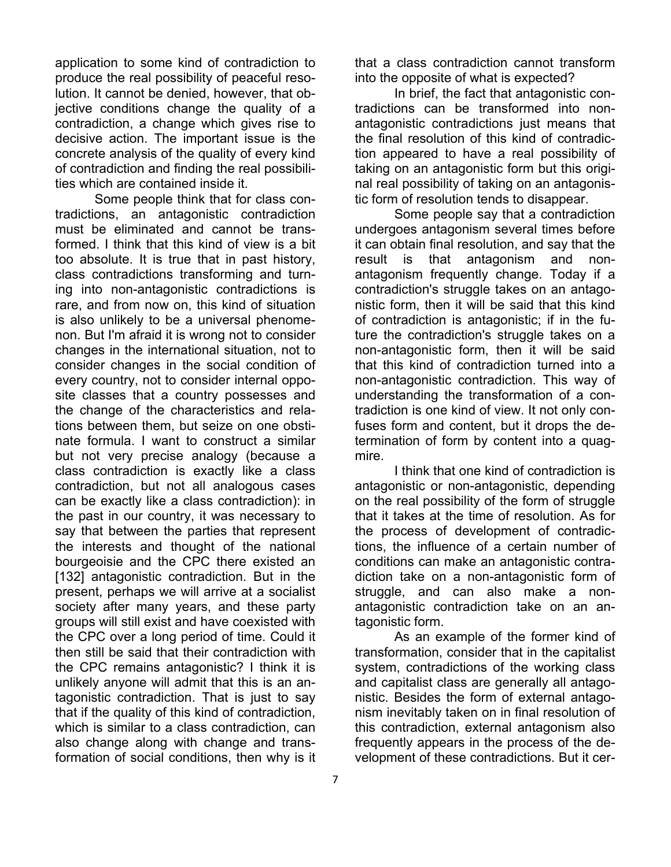application to some kind of contradiction to produce the real possibility of peaceful resolution. It cannot be denied, however, that objective conditions change the quality of a contradiction, a change which gives rise to decisive action. The important issue is the concrete analysis of the quality of every kind of contradiction and finding the real possibilities which are contained inside it.

Some people think that for class contradictions, an antagonistic contradiction must be eliminated and cannot be transformed. I think that this kind of view is a bit too absolute. It is true that in past history, class contradictions transforming and turning into non-antagonistic contradictions is rare, and from now on, this kind of situation is also unlikely to be a universal phenomenon. But I'm afraid it is wrong not to consider changes in the international situation, not to consider changes in the social condition of every country, not to consider internal opposite classes that a country possesses and the change of the characteristics and relations between them, but seize on one obstinate formula. I want to construct a similar but not very precise analogy (because a class contradiction is exactly like a class contradiction, but not all analogous cases can be exactly like a class contradiction): in the past in our country, it was necessary to say that between the parties that represent the interests and thought of the national bourgeoisie and the CPC there existed an [132] antagonistic contradiction. But in the present, perhaps we will arrive at a socialist society after many years, and these party groups will still exist and have coexisted with the CPC over a long period of time. Could it then still be said that their contradiction with the CPC remains antagonistic? I think it is unlikely anyone will admit that this is an antagonistic contradiction. That is just to say that if the quality of this kind of contradiction, which is similar to a class contradiction, can also change along with change and transformation of social conditions, then why is it

that a class contradiction cannot transform into the opposite of what is expected?

In brief, the fact that antagonistic contradictions can be transformed into nonantagonistic contradictions just means that the final resolution of this kind of contradiction appeared to have a real possibility of taking on an antagonistic form but this original real possibility of taking on an antagonistic form of resolution tends to disappear.

Some people say that a contradiction undergoes antagonism several times before it can obtain final resolution, and say that the result is that antagonism and nonantagonism frequently change. Today if a contradiction's struggle takes on an antagonistic form, then it will be said that this kind of contradiction is antagonistic; if in the future the contradiction's struggle takes on a non-antagonistic form, then it will be said that this kind of contradiction turned into a non-antagonistic contradiction. This way of understanding the transformation of a contradiction is one kind of view. It not only confuses form and content, but it drops the determination of form by content into a quagmire.

I think that one kind of contradiction is antagonistic or non-antagonistic, depending on the real possibility of the form of struggle that it takes at the time of resolution. As for the process of development of contradictions, the influence of a certain number of conditions can make an antagonistic contradiction take on a non-antagonistic form of struggle, and can also make a nonantagonistic contradiction take on an antagonistic form.

As an example of the former kind of transformation, consider that in the capitalist system, contradictions of the working class and capitalist class are generally all antagonistic. Besides the form of external antagonism inevitably taken on in final resolution of this contradiction, external antagonism also frequently appears in the process of the development of these contradictions. But it cer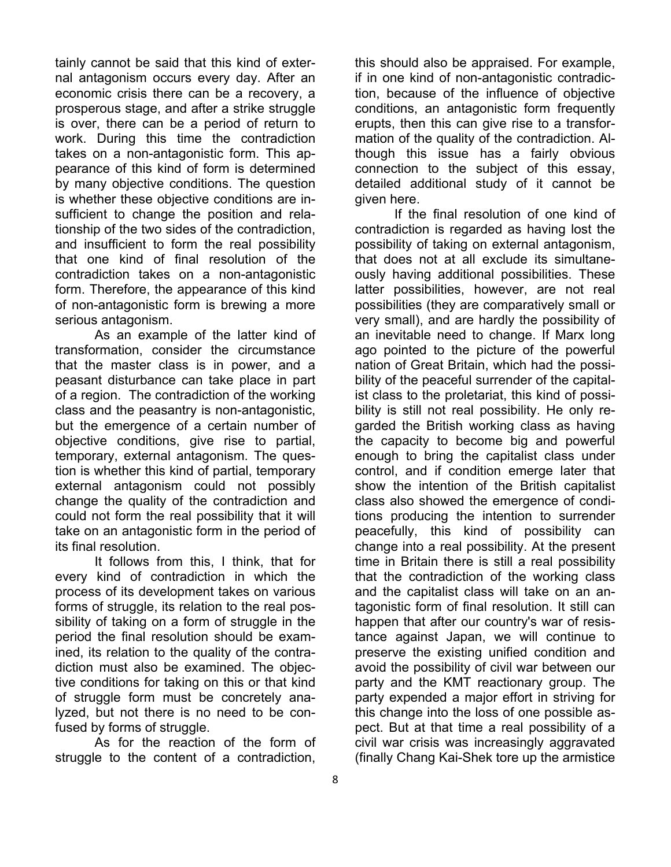tainly cannot be said that this kind of external antagonism occurs every day. After an economic crisis there can be a recovery, a prosperous stage, and after a strike struggle is over, there can be a period of return to work. During this time the contradiction takes on a non-antagonistic form. This appearance of this kind of form is determined by many objective conditions. The question is whether these objective conditions are insufficient to change the position and relationship of the two sides of the contradiction, and insufficient to form the real possibility that one kind of final resolution of the contradiction takes on a non-antagonistic form. Therefore, the appearance of this kind of non-antagonistic form is brewing a more serious antagonism.

As an example of the latter kind of transformation, consider the circumstance that the master class is in power, and a peasant disturbance can take place in part of a region. The contradiction of the working class and the peasantry is non-antagonistic, but the emergence of a certain number of objective conditions, give rise to partial, temporary, external antagonism. The question is whether this kind of partial, temporary external antagonism could not possibly change the quality of the contradiction and could not form the real possibility that it will take on an antagonistic form in the period of its final resolution.

It follows from this, I think, that for every kind of contradiction in which the process of its development takes on various forms of struggle, its relation to the real possibility of taking on a form of struggle in the period the final resolution should be examined, its relation to the quality of the contradiction must also be examined. The objective conditions for taking on this or that kind of struggle form must be concretely analyzed, but not there is no need to be confused by forms of struggle.

As for the reaction of the form of struggle to the content of a contradiction,

this should also be appraised. For example, if in one kind of non-antagonistic contradiction, because of the influence of objective conditions, an antagonistic form frequently erupts, then this can give rise to a transformation of the quality of the contradiction. Although this issue has a fairly obvious connection to the subject of this essay, detailed additional study of it cannot be given here.

If the final resolution of one kind of contradiction is regarded as having lost the possibility of taking on external antagonism, that does not at all exclude its simultaneously having additional possibilities. These latter possibilities, however, are not real possibilities (they are comparatively small or very small), and are hardly the possibility of an inevitable need to change. If Marx long ago pointed to the picture of the powerful nation of Great Britain, which had the possibility of the peaceful surrender of the capitalist class to the proletariat, this kind of possibility is still not real possibility. He only regarded the British working class as having the capacity to become big and powerful enough to bring the capitalist class under control, and if condition emerge later that show the intention of the British capitalist class also showed the emergence of conditions producing the intention to surrender peacefully, this kind of possibility can change into a real possibility. At the present time in Britain there is still a real possibility that the contradiction of the working class and the capitalist class will take on an antagonistic form of final resolution. It still can happen that after our country's war of resistance against Japan, we will continue to preserve the existing unified condition and avoid the possibility of civil war between our party and the KMT reactionary group. The party expended a major effort in striving for this change into the loss of one possible aspect. But at that time a real possibility of a civil war crisis was increasingly aggravated (finally Chang Kai-Shek tore up the armistice